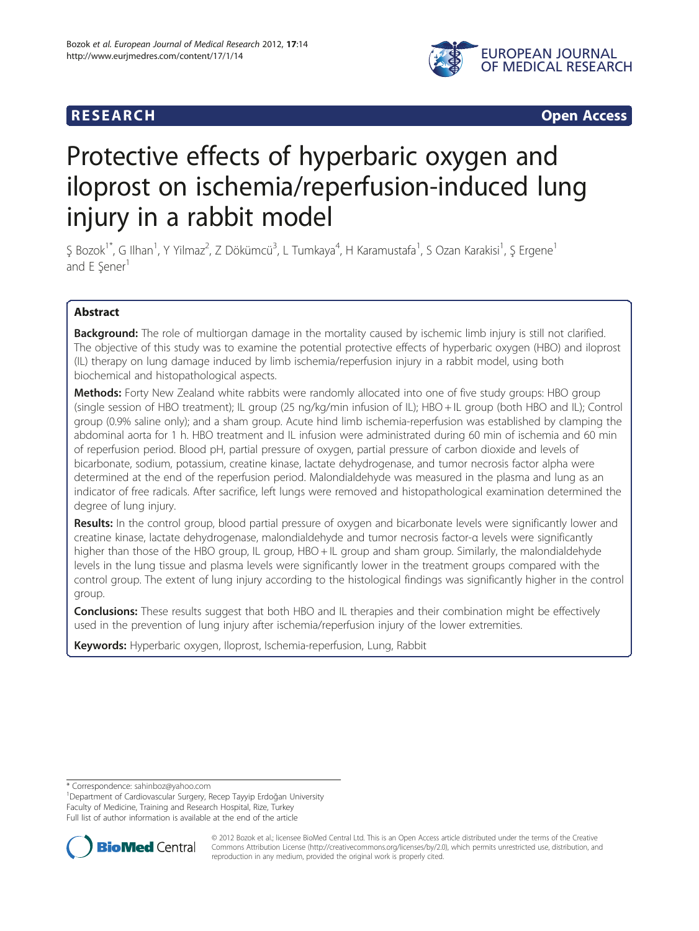

**RESEARCH RESEARCH CONSUMING ACCESS** 

# Protective effects of hyperbaric oxygen and iloprost on ischemia/reperfusion-induced lung injury in a rabbit model

Ş Bozok<sup>1\*</sup>, G Ilhan<sup>1</sup>, Y Yilmaz<sup>2</sup>, Z Dökümcü<sup>3</sup>, L Tumkaya<sup>4</sup>, H Karamustafa<sup>1</sup>, S Ozan Karakisi<sup>1</sup>, Ş Ergene<sup>1</sup> and E Sener<sup>1</sup>

# Abstract

**Background:** The role of multiorgan damage in the mortality caused by ischemic limb injury is still not clarified. The objective of this study was to examine the potential protective effects of hyperbaric oxygen (HBO) and iloprost (IL) therapy on lung damage induced by limb ischemia/reperfusion injury in a rabbit model, using both biochemical and histopathological aspects.

**Methods:** Forty New Zealand white rabbits were randomly allocated into one of five study groups: HBO group (single session of HBO treatment); IL group (25 ng/kg/min infusion of IL); HBO + IL group (both HBO and IL); Control group (0.9% saline only); and a sham group. Acute hind limb ischemia-reperfusion was established by clamping the abdominal aorta for 1 h. HBO treatment and IL infusion were administrated during 60 min of ischemia and 60 min of reperfusion period. Blood pH, partial pressure of oxygen, partial pressure of carbon dioxide and levels of bicarbonate, sodium, potassium, creatine kinase, lactate dehydrogenase, and tumor necrosis factor alpha were determined at the end of the reperfusion period. Malondialdehyde was measured in the plasma and lung as an indicator of free radicals. After sacrifice, left lungs were removed and histopathological examination determined the degree of lung injury.

Results: In the control group, blood partial pressure of oxygen and bicarbonate levels were significantly lower and creatine kinase, lactate dehydrogenase, malondialdehyde and tumor necrosis factor-α levels were significantly higher than those of the HBO group, IL group, HBO + IL group and sham group. Similarly, the malondialdehyde levels in the lung tissue and plasma levels were significantly lower in the treatment groups compared with the control group. The extent of lung injury according to the histological findings was significantly higher in the control group.

**Conclusions:** These results suggest that both HBO and IL therapies and their combination might be effectively used in the prevention of lung injury after ischemia/reperfusion injury of the lower extremities.

Keywords: Hyperbaric oxygen, Iloprost, Ischemia-reperfusion, Lung, Rabbit

\* Correspondence: [sahinboz@yahoo.com](mailto:sahinboz@yahoo.com) <sup>1</sup>

<sup>1</sup>Department of Cardiovascular Surgery, Recep Tayyip Erdoğan University Faculty of Medicine, Training and Research Hospital, Rize, Turkey Full list of author information is available at the end of the article



© 2012 Bozok et al.; licensee BioMed Central Ltd. This is an Open Access article distributed under the terms of the Creative Commons Attribution License [\(http://creativecommons.org/licenses/by/2.0\)](http://creativecommons.org/licenses/by/2.0), which permits unrestricted use, distribution, and reproduction in any medium, provided the original work is properly cited.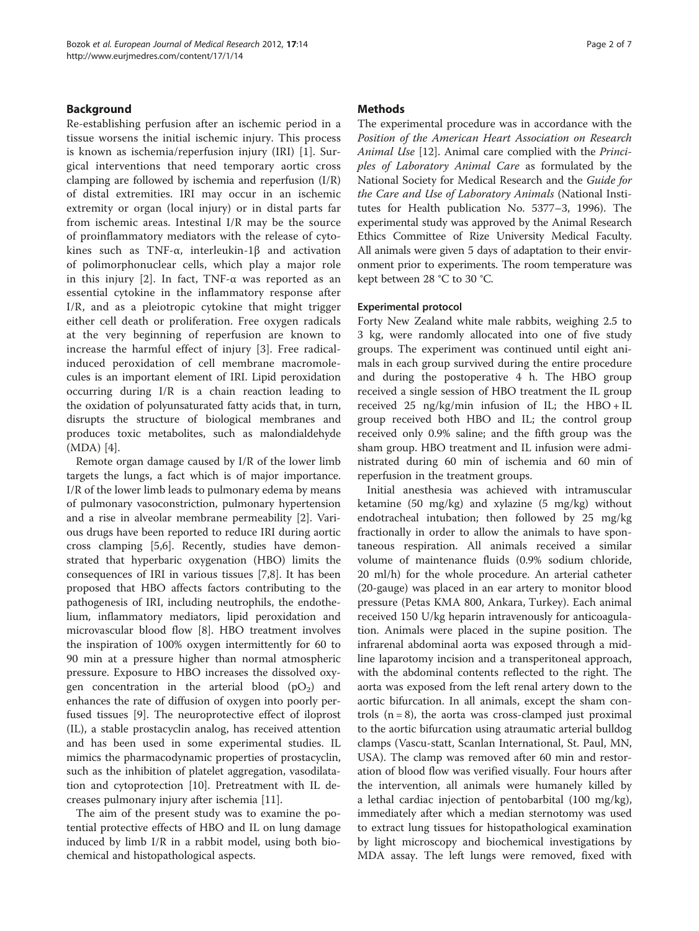# Background

Re-establishing perfusion after an ischemic period in a tissue worsens the initial ischemic injury. This process is known as ischemia/reperfusion injury (IRI) [\[1](#page-6-0)]. Surgical interventions that need temporary aortic cross clamping are followed by ischemia and reperfusion (I/R) of distal extremities. IRI may occur in an ischemic extremity or organ (local injury) or in distal parts far from ischemic areas. Intestinal I/R may be the source of proinflammatory mediators with the release of cytokines such as TNF-α, interleukin-1β and activation of polimorphonuclear cells, which play a major role in this injury [\[2](#page-6-0)]. In fact, TNF- $\alpha$  was reported as an essential cytokine in the inflammatory response after I/R, and as a pleiotropic cytokine that might trigger either cell death or proliferation. Free oxygen radicals at the very beginning of reperfusion are known to increase the harmful effect of injury [[3\]](#page-6-0). Free radicalinduced peroxidation of cell membrane macromolecules is an important element of IRI. Lipid peroxidation occurring during I/R is a chain reaction leading to the oxidation of polyunsaturated fatty acids that, in turn, disrupts the structure of biological membranes and produces toxic metabolites, such as malondialdehyde (MDA) [\[4\]](#page-6-0).

Remote organ damage caused by I/R of the lower limb targets the lungs, a fact which is of major importance. I/R of the lower limb leads to pulmonary edema by means of pulmonary vasoconstriction, pulmonary hypertension and a rise in alveolar membrane permeability [[2\]](#page-6-0). Various drugs have been reported to reduce IRI during aortic cross clamping [\[5,6](#page-6-0)]. Recently, studies have demonstrated that hyperbaric oxygenation (HBO) limits the consequences of IRI in various tissues [[7,8\]](#page-6-0). It has been proposed that HBO affects factors contributing to the pathogenesis of IRI, including neutrophils, the endothelium, inflammatory mediators, lipid peroxidation and microvascular blood flow [[8\]](#page-6-0). HBO treatment involves the inspiration of 100% oxygen intermittently for 60 to 90 min at a pressure higher than normal atmospheric pressure. Exposure to HBO increases the dissolved oxygen concentration in the arterial blood  $(pO_2)$  and enhances the rate of diffusion of oxygen into poorly perfused tissues [[9\]](#page-6-0). The neuroprotective effect of iloprost (IL), a stable prostacyclin analog, has received attention and has been used in some experimental studies. IL mimics the pharmacodynamic properties of prostacyclin, such as the inhibition of platelet aggregation, vasodilatation and cytoprotection [[10\]](#page-6-0). Pretreatment with IL decreases pulmonary injury after ischemia [[11\]](#page-6-0).

The aim of the present study was to examine the potential protective effects of HBO and IL on lung damage induced by limb I/R in a rabbit model, using both biochemical and histopathological aspects.

# **Methods**

The experimental procedure was in accordance with the Position of the American Heart Association on Research Animal Use [\[12\]](#page-6-0). Animal care complied with the Principles of Laboratory Animal Care as formulated by the National Society for Medical Research and the Guide for the Care and Use of Laboratory Animals (National Institutes for Health publication No. 5377–3, 1996). The experimental study was approved by the Animal Research Ethics Committee of Rize University Medical Faculty. All animals were given 5 days of adaptation to their environment prior to experiments. The room temperature was kept between 28 °C to 30 °C.

#### Experimental protocol

Forty New Zealand white male rabbits, weighing 2.5 to 3 kg, were randomly allocated into one of five study groups. The experiment was continued until eight animals in each group survived during the entire procedure and during the postoperative 4 h. The HBO group received a single session of HBO treatment the IL group received 25 ng/kg/min infusion of IL; the  $HBO + IL$ group received both HBO and IL; the control group received only 0.9% saline; and the fifth group was the sham group. HBO treatment and IL infusion were administrated during 60 min of ischemia and 60 min of reperfusion in the treatment groups.

Initial anesthesia was achieved with intramuscular ketamine (50 mg/kg) and xylazine (5 mg/kg) without endotracheal intubation; then followed by 25 mg/kg fractionally in order to allow the animals to have spontaneous respiration. All animals received a similar volume of maintenance fluids (0.9% sodium chloride, 20 ml/h) for the whole procedure. An arterial catheter (20-gauge) was placed in an ear artery to monitor blood pressure (Petas KMA 800, Ankara, Turkey). Each animal received 150 U/kg heparin intravenously for anticoagulation. Animals were placed in the supine position. The infrarenal abdominal aorta was exposed through a midline laparotomy incision and a transperitoneal approach, with the abdominal contents reflected to the right. The aorta was exposed from the left renal artery down to the aortic bifurcation. In all animals, except the sham controls  $(n = 8)$ , the aorta was cross-clamped just proximal to the aortic bifurcation using atraumatic arterial bulldog clamps (Vascu-statt, Scanlan International, St. Paul, MN, USA). The clamp was removed after 60 min and restoration of blood flow was verified visually. Four hours after the intervention, all animals were humanely killed by a lethal cardiac injection of pentobarbital (100 mg/kg), immediately after which a median sternotomy was used to extract lung tissues for histopathological examination by light microscopy and biochemical investigations by MDA assay. The left lungs were removed, fixed with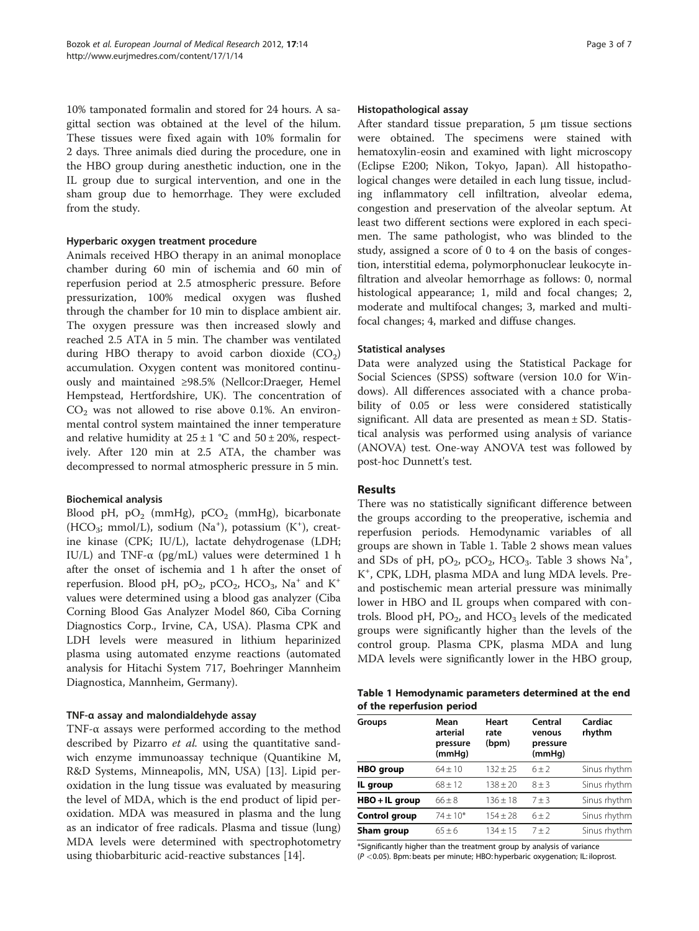10% tamponated formalin and stored for 24 hours. A sagittal section was obtained at the level of the hilum. These tissues were fixed again with 10% formalin for 2 days. Three animals died during the procedure, one in the HBO group during anesthetic induction, one in the IL group due to surgical intervention, and one in the sham group due to hemorrhage. They were excluded from the study.

#### Hyperbaric oxygen treatment procedure

Animals received HBO therapy in an animal monoplace chamber during 60 min of ischemia and 60 min of reperfusion period at 2.5 atmospheric pressure. Before pressurization, 100% medical oxygen was flushed through the chamber for 10 min to displace ambient air. The oxygen pressure was then increased slowly and reached 2.5 ATA in 5 min. The chamber was ventilated during HBO therapy to avoid carbon dioxide  $(CO_2)$ accumulation. Oxygen content was monitored continuously and maintained ≥98.5% (Nellcor:Draeger, Hemel Hempstead, Hertfordshire, UK). The concentration of  $CO<sub>2</sub>$  was not allowed to rise above 0.1%. An environmental control system maintained the inner temperature and relative humidity at  $25 \pm 1$  °C and  $50 \pm 20$ %, respectively. After 120 min at 2.5 ATA, the chamber was decompressed to normal atmospheric pressure in 5 min.

# Biochemical analysis

Blood pH,  $pO_2$  (mmHg),  $pCO_2$  (mmHg), bicarbonate (HCO<sub>3</sub>; mmol/L), sodium (Na<sup>+</sup>), potassium (K<sup>+</sup>), creatine kinase (CPK; IU/L), lactate dehydrogenase (LDH; IU/L) and TNF- $\alpha$  (pg/mL) values were determined 1 h after the onset of ischemia and 1 h after the onset of reperfusion. Blood pH,  $pO_2$ ,  $pCO_2$ ,  $HCO_3$ , Na<sup>+</sup> and K<sup>+</sup> values were determined using a blood gas analyzer (Ciba Corning Blood Gas Analyzer Model 860, Ciba Corning Diagnostics Corp., Irvine, CA, USA). Plasma CPK and LDH levels were measured in lithium heparinized plasma using automated enzyme reactions (automated analysis for Hitachi System 717, Boehringer Mannheim Diagnostica, Mannheim, Germany).

#### TNF-α assay and malondialdehyde assay

TNF-α assays were performed according to the method described by Pizarro *et al.* using the quantitative sandwich enzyme immunoassay technique (Quantikine M, R&D Systems, Minneapolis, MN, USA) [[13](#page-6-0)]. Lipid peroxidation in the lung tissue was evaluated by measuring the level of MDA, which is the end product of lipid peroxidation. MDA was measured in plasma and the lung as an indicator of free radicals. Plasma and tissue (lung) MDA levels were determined with spectrophotometry using thiobarbituric acid-reactive substances [[14\]](#page-6-0).

#### Histopathological assay

After standard tissue preparation, 5 μm tissue sections were obtained. The specimens were stained with hematoxylin-eosin and examined with light microscopy (Eclipse E200; Nikon, Tokyo, Japan). All histopathological changes were detailed in each lung tissue, including inflammatory cell infiltration, alveolar edema, congestion and preservation of the alveolar septum. At least two different sections were explored in each specimen. The same pathologist, who was blinded to the study, assigned a score of 0 to 4 on the basis of congestion, interstitial edema, polymorphonuclear leukocyte infiltration and alveolar hemorrhage as follows: 0, normal histological appearance; 1, mild and focal changes; 2, moderate and multifocal changes; 3, marked and multifocal changes; 4, marked and diffuse changes.

# Statistical analyses

Data were analyzed using the Statistical Package for Social Sciences (SPSS) software (version 10.0 for Windows). All differences associated with a chance probability of 0.05 or less were considered statistically significant. All data are presented as mean ± SD. Statistical analysis was performed using analysis of variance (ANOVA) test. One-way ANOVA test was followed by post-hoc Dunnett's test.

### Results

There was no statistically significant difference between the groups according to the preoperative, ischemia and reperfusion periods. Hemodynamic variables of all groups are shown in Table 1. Table [2](#page-3-0) shows mean values and SDs of pH,  $pO_2$ ,  $pCO_2$ , HCO<sub>3</sub>. Table [3](#page-3-0) shows Na<sup>+</sup>, K+ , CPK, LDH, plasma MDA and lung MDA levels. Preand postischemic mean arterial pressure was minimally lower in HBO and IL groups when compared with controls. Blood pH,  $PO<sub>2</sub>$ , and  $HCO<sub>3</sub>$  levels of the medicated groups were significantly higher than the levels of the control group. Plasma CPK, plasma MDA and lung MDA levels were significantly lower in the HBO group,

| Table 1 Hemodynamic parameters determined at the end |  |
|------------------------------------------------------|--|
| of the reperfusion period                            |  |

| <b>Groups</b>    | Mean<br>arterial<br>pressure<br>(mmHq) | Heart<br>rate<br>(bpm) | Central<br>venous<br>pressure<br>(mmHq) | Cardiac<br>rhythm |
|------------------|----------------------------------------|------------------------|-----------------------------------------|-------------------|
| <b>HBO</b> group | $64 + 10$                              | $132 + 25$             | $6 + 2$                                 | Sinus rhythm      |
| IL group         | $68 + 12$                              | $138 \pm 20$           | $8 + 3$                                 | Sinus rhythm      |
| HBO + IL group   | $66 \pm 8$                             | $136 \pm 18$           | $7 + 3$                                 | Sinus rhythm      |
| Control group    | $74 + 10*$                             | $154 \pm 28$           | $6 + 2$                                 | Sinus rhythm      |
| Sham group       | $65 + 6$                               | $134 + 15$             | $7 + 2$                                 | Sinus rhythm      |

\*Significantly higher than the treatment group by analysis of variance (P <0.05). Bpm: beats per minute; HBO: hyperbaric oxygenation; IL: iloprost.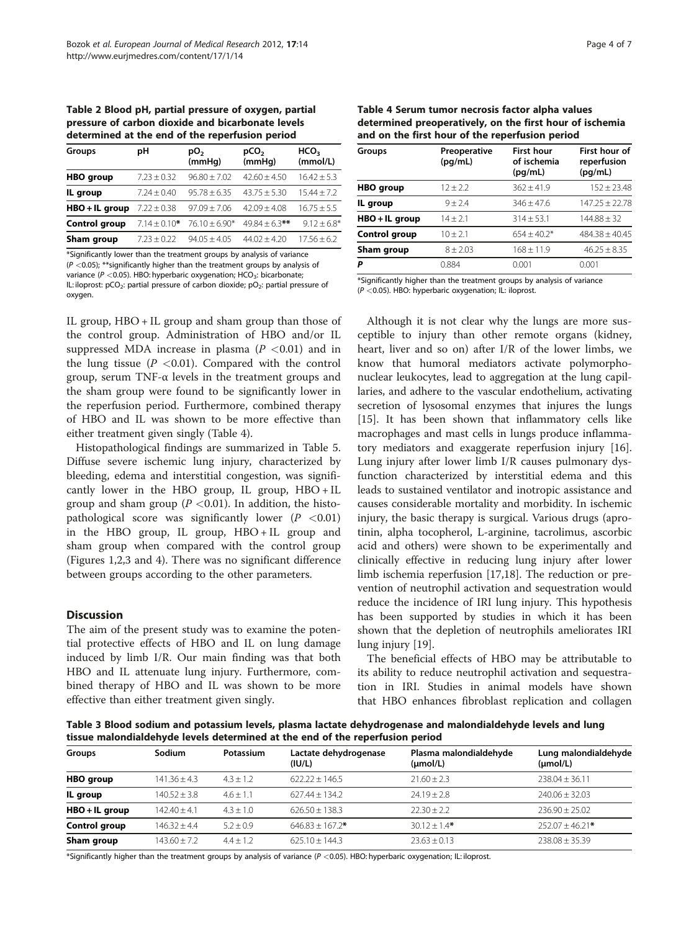<span id="page-3-0"></span>Table 2 Blood pH, partial pressure of oxygen, partial pressure of carbon dioxide and bicarbonate levels determined at the end of the reperfusion period

| Groups               | рH<br>pCO <sub>2</sub><br>pO <sub>2</sub><br>(mmHq)<br>(mmHg) |                   |                    | HCO <sub>3</sub><br>(mmol/L) |  |
|----------------------|---------------------------------------------------------------|-------------------|--------------------|------------------------------|--|
| <b>HBO</b> group     | $7.23 \pm 0.32$                                               | $96.80 \pm 7.02$  | $42.60 + 4.50$     | $16.42 + 5.3$                |  |
| IL group             | $7.24 \pm 0.40$                                               | $95.78 \pm 6.35$  | $43.75 \pm 5.30$   | $15.44 + 7.2$                |  |
| HBO + IL group       | $7.22 \pm 0.38$                                               | $97.09 + 7.06$    | $42.09 \pm 4.08$   | $16.75 + 5.5$                |  |
| <b>Control group</b> | $7.14 + 0.10*$                                                | $76.10 \pm 6.90*$ | $49.84 \pm 6.3$ ** | $9.12 + 6.8*$                |  |
| Sham group           | $7.23 + 0.22$                                                 | $94.05 + 4.05$    | $44.02 + 4.20$     | $17.56 + 6.2$                |  |

\*Significantly lower than the treatment groups by analysis of variance  $(P < 0.05)$ ; \*\*significantly higher than the treatment groups by analysis of variance ( $P < 0.05$ ). HBO: hyperbaric oxygenation; HCO<sub>3</sub>: bicarbonate; IL: iloprost:  $pCO_2$ : partial pressure of carbon dioxide;  $pO_2$ : partial pressure of oxygen.

IL group, HBO + IL group and sham group than those of the control group. Administration of HBO and/or IL suppressed MDA increase in plasma  $(P < 0.01)$  and in the lung tissue ( $P < 0.01$ ). Compared with the control group, serum TNF-α levels in the treatment groups and the sham group were found to be significantly lower in the reperfusion period. Furthermore, combined therapy of HBO and IL was shown to be more effective than either treatment given singly (Table 4).

Histopathological findings are summarized in Table [5](#page-4-0). Diffuse severe ischemic lung injury, characterized by bleeding, edema and interstitial congestion, was significantly lower in the HBO group, IL group,  $HBO + IL$ group and sham group ( $P < 0.01$ ). In addition, the histopathological score was significantly lower  $(P \le 0.01)$ in the HBO group, IL group, HBO + IL group and sham group when compared with the control group (Figures [1](#page-4-0),[2](#page-4-0),[3](#page-4-0) and [4\)](#page-5-0). There was no significant difference between groups according to the other parameters.

#### **Discussion**

The aim of the present study was to examine the potential protective effects of HBO and IL on lung damage induced by limb I/R. Our main finding was that both HBO and IL attenuate lung injury. Furthermore, combined therapy of HBO and IL was shown to be more effective than either treatment given singly.

| Table 4 Serum tumor necrosis factor alpha values         |  |  |  |  |  |
|----------------------------------------------------------|--|--|--|--|--|
| determined preoperatively, on the first hour of ischemia |  |  |  |  |  |
| and on the first hour of the reperfusion period          |  |  |  |  |  |

| Groups           | Preoperative<br>(pq/mL) | <b>First hour</b><br>of ischemia<br>(pq/mL) | First hour of<br>reperfusion<br>(pq/mL) |
|------------------|-------------------------|---------------------------------------------|-----------------------------------------|
| <b>HBO</b> group | $12 \pm 2.2$            | $362 + 41.9$                                | $152 \pm 23.48$                         |
| IL group         | $9 + 2.4$               | $346 + 47.6$                                | $147.25 \pm 22.78$                      |
| HBO + IL group   | $14 + 2.1$              | $314 + 53.1$                                | $144.88 + 32$                           |
| Control group    | $10 + 2.1$              | $654 + 40.2*$                               | $484.38 + 40.45$                        |
| Sham group       | $8 + 2.03$              | $168 \pm 11.9$                              | $46.25 \pm 8.35$                        |
| Ρ                | 0.884                   | 0.001                                       | 0.001                                   |

\*Significantly higher than the treatment groups by analysis of variance (P <0.05). HBO: hyperbaric oxygenation; IL: iloprost.

Although it is not clear why the lungs are more susceptible to injury than other remote organs (kidney, heart, liver and so on) after I/R of the lower limbs, we know that humoral mediators activate polymorphonuclear leukocytes, lead to aggregation at the lung capillaries, and adhere to the vascular endothelium, activating secretion of lysosomal enzymes that injures the lungs [[15\]](#page-6-0). It has been shown that inflammatory cells like macrophages and mast cells in lungs produce inflammatory mediators and exaggerate reperfusion injury [[16](#page-6-0)]. Lung injury after lower limb I/R causes pulmonary dysfunction characterized by interstitial edema and this leads to sustained ventilator and inotropic assistance and causes considerable mortality and morbidity. In ischemic injury, the basic therapy is surgical. Various drugs (aprotinin, alpha tocopherol, L-arginine, tacrolimus, ascorbic acid and others) were shown to be experimentally and clinically effective in reducing lung injury after lower limb ischemia reperfusion [[17](#page-6-0),[18](#page-6-0)]. The reduction or prevention of neutrophil activation and sequestration would reduce the incidence of IRI lung injury. This hypothesis has been supported by studies in which it has been shown that the depletion of neutrophils ameliorates IRI lung injury [\[19](#page-6-0)].

The beneficial effects of HBO may be attributable to its ability to reduce neutrophil activation and sequestration in IRI. Studies in animal models have shown that HBO enhances fibroblast replication and collagen

Table 3 Blood sodium and potassium levels, plasma lactate dehydrogenase and malondialdehyde levels and lung tissue malondialdehyde levels determined at the end of the reperfusion period

| <b>Groups</b>    | Sodium           | Potassium     | Lactate dehydrogenase<br>(IU/L) | Plasma malondialdehyde<br>$(\mu mol/L)$ | Lung malondialdehyde<br>$(\mu mol/L)$ |
|------------------|------------------|---------------|---------------------------------|-----------------------------------------|---------------------------------------|
| <b>HBO</b> group | $141.36 \pm 4.3$ | $4.3 + 1.2$   | $622.22 + 146.5$                | $21.60 \pm 2.3$                         | $238.04 + 36.11$                      |
| IL group         | $140.52 + 3.8$   | $4.6 + 1.1$   | $627.44 \pm 134.2$              | $24.19 \pm 2.8$                         | $240.06 + 32.03$                      |
| $HBO + IL$ group | $142.40 + 4.1$   | $4.3 + 1.0$   | $626.50 + 138.3$                | $22.30 + 2.2$                           | $236.90 + 25.02$                      |
| Control group    | $146.32 + 4.4$   | $5.2 + 0.9$   | $646.83 + 167.2*$               | $30.12 + 1.4*$                          | $252.07 + 46.21*$                     |
| Sham group       | $143.60 + 7.2$   | $4.4 \pm 1.2$ | $625.10 + 144.3$                | $23.63 + 0.13$                          | $238.08 + 35.39$                      |

\*Significantly higher than the treatment groups by analysis of variance ( $P < 0.05$ ). HBO: hyperbaric oxygenation; IL: iloprost.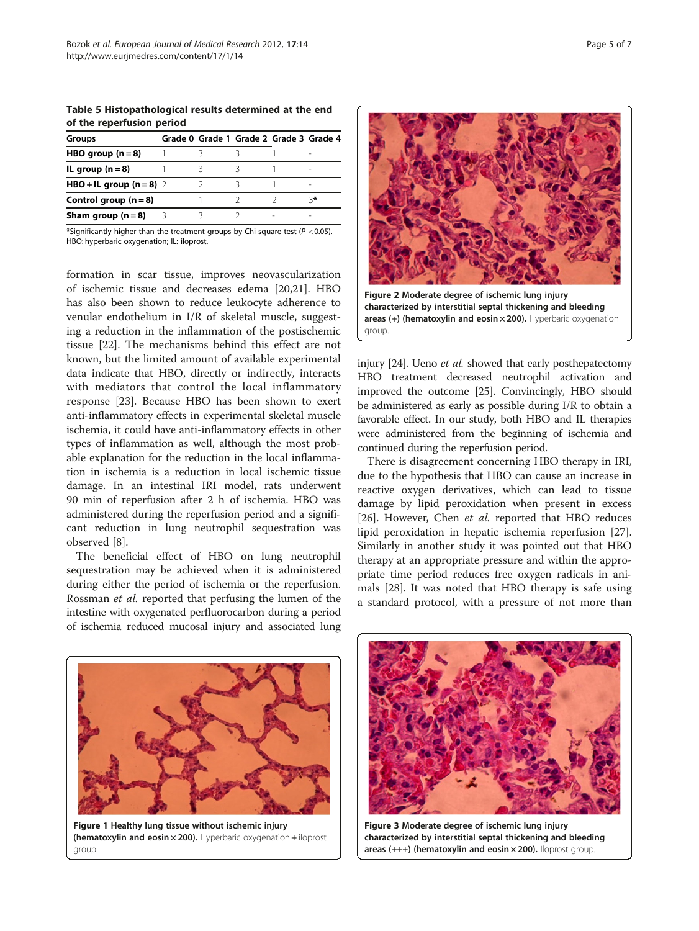<span id="page-4-0"></span>Table 5 Histopathological results determined at the end of the reperfusion period

| Groups                   |    | Grade 0 Grade 1 Grade 2 Grade 3 Grade 4 |                          |
|--------------------------|----|-----------------------------------------|--------------------------|
| HBO group $(n=8)$        |    |                                         | $\overline{\phantom{a}}$ |
| IL group $(n=8)$         |    |                                         | $\overline{\phantom{a}}$ |
| HBO + IL group $(n=8)$ 2 |    |                                         | $\overline{\phantom{a}}$ |
| Control group $(n=8)$    |    |                                         | *י 2                     |
| Sham group $(n=8)$       | -3 |                                         | $\overline{\phantom{a}}$ |
|                          |    |                                         |                          |

\*Significantly higher than the treatment groups by Chi-square test ( $P < 0.05$ ). HBO: hyperbaric oxygenation; IL: iloprost.

formation in scar tissue, improves neovascularization of ischemic tissue and decreases edema [\[20,21](#page-6-0)]. HBO has also been shown to reduce leukocyte adherence to venular endothelium in I/R of skeletal muscle, suggesting a reduction in the inflammation of the postischemic tissue [\[22\]](#page-6-0). The mechanisms behind this effect are not known, but the limited amount of available experimental data indicate that HBO, directly or indirectly, interacts with mediators that control the local inflammatory response [\[23](#page-6-0)]. Because HBO has been shown to exert anti-inflammatory effects in experimental skeletal muscle ischemia, it could have anti-inflammatory effects in other types of inflammation as well, although the most probable explanation for the reduction in the local inflammation in ischemia is a reduction in local ischemic tissue damage. In an intestinal IRI model, rats underwent 90 min of reperfusion after 2 h of ischemia. HBO was administered during the reperfusion period and a significant reduction in lung neutrophil sequestration was observed [\[8\]](#page-6-0).

The beneficial effect of HBO on lung neutrophil sequestration may be achieved when it is administered during either the period of ischemia or the reperfusion. Rossman et al. reported that perfusing the lumen of the intestine with oxygenated perfluorocarbon during a period of ischemia reduced mucosal injury and associated lung



injury [[24](#page-6-0)]. Ueno et al. showed that early posthepatectomy HBO treatment decreased neutrophil activation and improved the outcome [[25](#page-6-0)]. Convincingly, HBO should be administered as early as possible during I/R to obtain a favorable effect. In our study, both HBO and IL therapies were administered from the beginning of ischemia and continued during the reperfusion period.

There is disagreement concerning HBO therapy in IRI, due to the hypothesis that HBO can cause an increase in reactive oxygen derivatives, which can lead to tissue damage by lipid peroxidation when present in excess [[26\]](#page-6-0). However, Chen et al. reported that HBO reduces lipid peroxidation in hepatic ischemia reperfusion [\[27](#page-6-0)]. Similarly in another study it was pointed out that HBO therapy at an appropriate pressure and within the appropriate time period reduces free oxygen radicals in animals [[28\]](#page-6-0). It was noted that HBO therapy is safe using a standard protocol, with a pressure of not more than



Figure 1 Healthy lung tissue without ischemic injury (hematoxylin and eosin × 200). Hyperbaric oxygenation + iloprost group.



Figure 3 Moderate degree of ischemic lung injury characterized by interstitial septal thickening and bleeding areas (+++) (hematoxylin and eosin × 200). Iloprost group.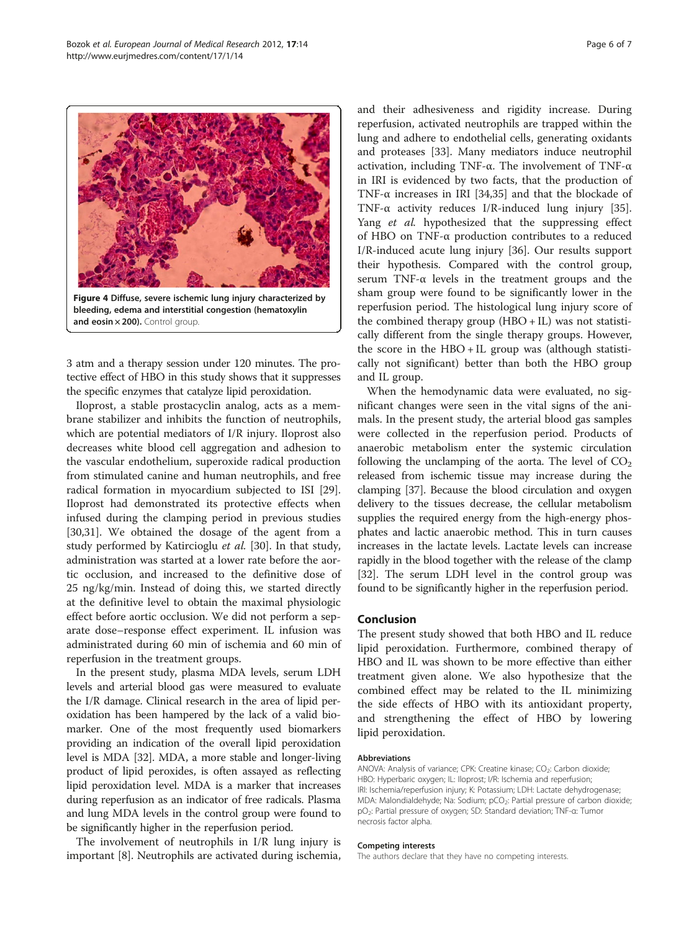<span id="page-5-0"></span>

3 atm and a therapy session under 120 minutes. The protective effect of HBO in this study shows that it suppresses the specific enzymes that catalyze lipid peroxidation.

Iloprost, a stable prostacyclin analog, acts as a membrane stabilizer and inhibits the function of neutrophils, which are potential mediators of I/R injury. Iloprost also decreases white blood cell aggregation and adhesion to the vascular endothelium, superoxide radical production from stimulated canine and human neutrophils, and free radical formation in myocardium subjected to ISI [\[29](#page-6-0)]. Iloprost had demonstrated its protective effects when infused during the clamping period in previous studies [[30,31\]](#page-6-0). We obtained the dosage of the agent from a study performed by Katircioglu et al. [[30](#page-6-0)]. In that study, administration was started at a lower rate before the aortic occlusion, and increased to the definitive dose of 25 ng/kg/min. Instead of doing this, we started directly at the definitive level to obtain the maximal physiologic effect before aortic occlusion. We did not perform a separate dose–response effect experiment. IL infusion was administrated during 60 min of ischemia and 60 min of reperfusion in the treatment groups.

In the present study, plasma MDA levels, serum LDH levels and arterial blood gas were measured to evaluate the I/R damage. Clinical research in the area of lipid peroxidation has been hampered by the lack of a valid biomarker. One of the most frequently used biomarkers providing an indication of the overall lipid peroxidation level is MDA [\[32\]](#page-6-0). MDA, a more stable and longer-living product of lipid peroxides, is often assayed as reflecting lipid peroxidation level. MDA is a marker that increases during reperfusion as an indicator of free radicals. Plasma and lung MDA levels in the control group were found to be significantly higher in the reperfusion period.

The involvement of neutrophils in I/R lung injury is important [[8\]](#page-6-0). Neutrophils are activated during ischemia, and their adhesiveness and rigidity increase. During reperfusion, activated neutrophils are trapped within the lung and adhere to endothelial cells, generating oxidants and proteases [\[33](#page-6-0)]. Many mediators induce neutrophil activation, including TNF-α. The involvement of TNF-α in IRI is evidenced by two facts, that the production of TNF-α increases in IRI [[34,35\]](#page-6-0) and that the blockade of TNF-α activity reduces I/R-induced lung injury [\[35](#page-6-0)]. Yang et al. hypothesized that the suppressing effect of HBO on TNF-α production contributes to a reduced I/R-induced acute lung injury [\[36](#page-6-0)]. Our results support their hypothesis. Compared with the control group, serum TNF-α levels in the treatment groups and the sham group were found to be significantly lower in the reperfusion period. The histological lung injury score of the combined therapy group  $(HBO + IL)$  was not statistically different from the single therapy groups. However, the score in the HBO + IL group was (although statistically not significant) better than both the HBO group and IL group.

When the hemodynamic data were evaluated, no significant changes were seen in the vital signs of the animals. In the present study, the arterial blood gas samples were collected in the reperfusion period. Products of anaerobic metabolism enter the systemic circulation following the unclamping of the aorta. The level of  $CO<sub>2</sub>$ released from ischemic tissue may increase during the clamping [\[37\]](#page-6-0). Because the blood circulation and oxygen delivery to the tissues decrease, the cellular metabolism supplies the required energy from the high-energy phosphates and lactic anaerobic method. This in turn causes increases in the lactate levels. Lactate levels can increase rapidly in the blood together with the release of the clamp [[32](#page-6-0)]. The serum LDH level in the control group was found to be significantly higher in the reperfusion period.

# Conclusion

The present study showed that both HBO and IL reduce lipid peroxidation. Furthermore, combined therapy of HBO and IL was shown to be more effective than either treatment given alone. We also hypothesize that the combined effect may be related to the IL minimizing the side effects of HBO with its antioxidant property, and strengthening the effect of HBO by lowering lipid peroxidation.

#### Abbreviations

ANOVA: Analysis of variance; CPK: Creatine kinase;  $CO<sub>2</sub>$ : Carbon dioxide; HBO: Hyperbaric oxygen; IL: Iloprost; I/R: Ischemia and reperfusion; IRI: Ischemia/reperfusion injury; K: Potassium; LDH: Lactate dehydrogenase; MDA: Malondialdehyde; Na: Sodium; pCO<sub>2</sub>: Partial pressure of carbon dioxide; pO2: Partial pressure of oxygen; SD: Standard deviation; TNF-α: Tumor necrosis factor alpha.

#### Competing interests

The authors declare that they have no competing interests.